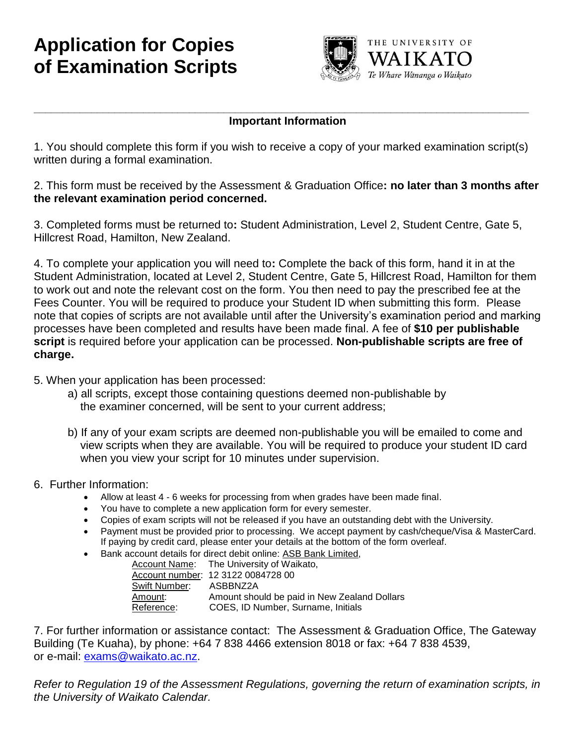# **Application for Copies of Examination Scripts**



### **Important Information**

1. You should complete this form if you wish to receive a copy of your marked examination script(s) written during a formal examination.

**\_\_\_\_\_\_\_\_\_\_\_\_\_\_\_\_\_\_\_\_\_\_\_\_\_\_\_\_\_\_\_\_\_\_\_\_\_\_\_\_\_\_\_\_\_\_\_\_\_\_\_\_\_\_\_\_\_\_\_\_\_\_\_\_\_\_\_\_\_\_\_\_\_\_\_\_\_\_\_\_\_\_\_\_\_\_**

2. This form must be received by the Assessment & Graduation Office**: no later than 3 months after the relevant examination period concerned.**

3. Completed forms must be returned to**:** Student Administration, Level 2, Student Centre, Gate 5, Hillcrest Road, Hamilton, New Zealand.

4. To complete your application you will need to**:** Complete the back of this form, hand it in at the Student Administration, located at Level 2, Student Centre, Gate 5, Hillcrest Road, Hamilton for them to work out and note the relevant cost on the form. You then need to pay the prescribed fee at the Fees Counter. You will be required to produce your Student ID when submitting this form. Please note that copies of scripts are not available until after the University's examination period and marking processes have been completed and results have been made final. A fee of **\$10 per publishable script** is required before your application can be processed. **Non-publishable scripts are free of charge.**

#### 5. When your application has been processed:

- a) all scripts, except those containing questions deemed non-publishable by the examiner concerned, will be sent to your current address;
- b) If any of your exam scripts are deemed non-publishable you will be emailed to come and view scripts when they are available. You will be required to produce your student ID card when you view your script for 10 minutes under supervision.

#### 6. Further Information:

- Allow at least 4 6 weeks for processing from when grades have been made final.
- You have to complete a new application form for every semester.
- Copies of exam scripts will not be released if you have an outstanding debt with the University.
- Payment must be provided prior to processing. We accept payment by cash/cheque/Visa & MasterCard. If paying by credit card, please enter your details at the bottom of the form overleaf.
- Bank account details for direct debit online: ASB Bank Limited,

|               | Account Name: The University of Waikato,     |
|---------------|----------------------------------------------|
|               | Account number: 12 3122 0084728 00           |
| Swift Number: | ASBBNZ2A                                     |
| Amount:       | Amount should be paid in New Zealand Dollars |
| Reference:    | COES, ID Number, Surname, Initials           |

7. For further information or assistance contact: The Assessment & Graduation Office, The Gateway Building (Te Kuaha), by phone: +64 7 838 4466 extension 8018 or fax: +64 7 838 4539, or e-mail: [exams@waikato.ac.nz.](mailto:exams@waikato.ac.nz)

*Refer to Regulation 19 of the Assessment Regulations, governing the return of examination scripts, in the University of Waikato Calendar.*